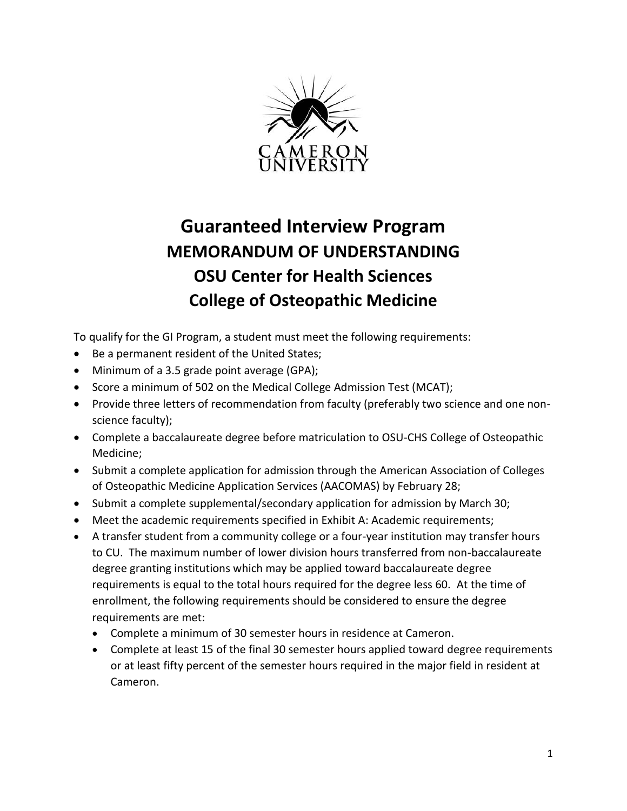

## **Guaranteed Interview Program MEMORANDUM OF UNDERSTANDING OSU Center for Health Sciences College of Osteopathic Medicine**

To qualify for the GI Program, a student must meet the following requirements:

- Be a permanent resident of the United States;
- Minimum of a 3.5 grade point average (GPA);
- Score a minimum of 502 on the Medical College Admission Test (MCAT);
- Provide three letters of recommendation from faculty (preferably two science and one nonscience faculty);
- Complete a baccalaureate degree before matriculation to OSU-CHS College of Osteopathic Medicine;
- Submit a complete application for admission through the American Association of Colleges of Osteopathic Medicine Application Services (AACOMAS) by February 28;
- Submit a complete supplemental/secondary application for admission by March 30;
- Meet the academic requirements specified in Exhibit A: Academic requirements;
- A transfer student from a community college or a four-year institution may transfer hours to CU. The maximum number of lower division hours transferred from non-baccalaureate degree granting institutions which may be applied toward baccalaureate degree requirements is equal to the total hours required for the degree less 60. At the time of enrollment, the following requirements should be considered to ensure the degree requirements are met:
	- Complete a minimum of 30 semester hours in residence at Cameron.
	- Complete at least 15 of the final 30 semester hours applied toward degree requirements or at least fifty percent of the semester hours required in the major field in resident at Cameron.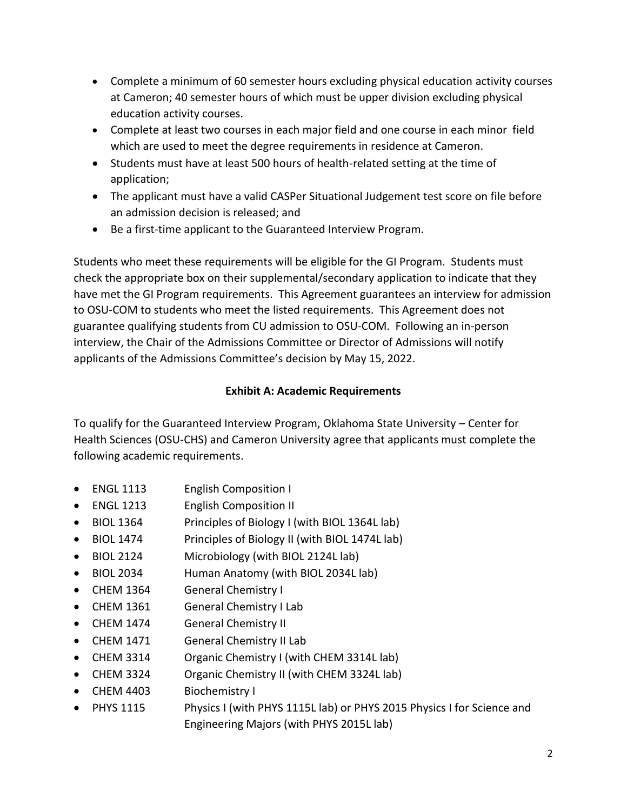- Complete a minimum of 60 semester hours excluding physical education activity courses at Cameron; 40 semester hours of which must be upper division excluding physical education activity courses.
- Complete at least two courses in each major field and one course in each minor field which are used to meet the degree requirements in residence at Cameron.
- Students must have at least 500 hours of health-related setting at the time of application;
- The applicant must have a valid CASPer Situational Judgement test score on file before an admission decision is released; and
- Be a first-time applicant to the Guaranteed Interview Program.

Students who meet these requirements will be eligible for the GI Program. Students must check the appropriate box on their supplemental/secondary application to indicate that they have met the GI Program requirements. This Agreement guarantees an interview for admission to OSU-COM to students who meet the listed requirements. This Agreement does not guarantee qualifying students from CU admission to OSU-COM. Following an in-person interview, the Chair of the Admissions Committee or Director of Admissions will notify applicants of the Admissions Committee's decision by May 15, 2022.

## **Exhibit A: Academic Requirements**

To qualify for the Guaranteed Interview Program, Oklahoma State University – Center for Health Sciences (OSU-CHS) and Cameron University agree that applicants must complete the following academic requirements.

- ENGL 1113 English Composition I
- ENGL 1213 English Composition II
- BIOL 1364 Principles of Biology I (with BIOL 1364L lab)
- BIOL 1474 Principles of Biology II (with BIOL 1474L lab)
- BIOL 2124 Microbiology (with BIOL 2124L lab)
- BIOL 2034 Human Anatomy (with BIOL 2034L lab)
- CHEM 1364 General Chemistry I
- CHEM 1361 General Chemistry I Lab
- CHEM 1474 General Chemistry II
- CHEM 1471 General Chemistry II Lab
- CHEM 3314 Organic Chemistry I (with CHEM 3314L lab)
- CHEM 3324 Organic Chemistry II (with CHEM 3324L lab)
- CHEM 4403 Biochemistry I
- PHYS 1115 Physics I (with PHYS 1115L lab) or PHYS 2015 Physics I for Science and Engineering Majors (with PHYS 2015L lab)